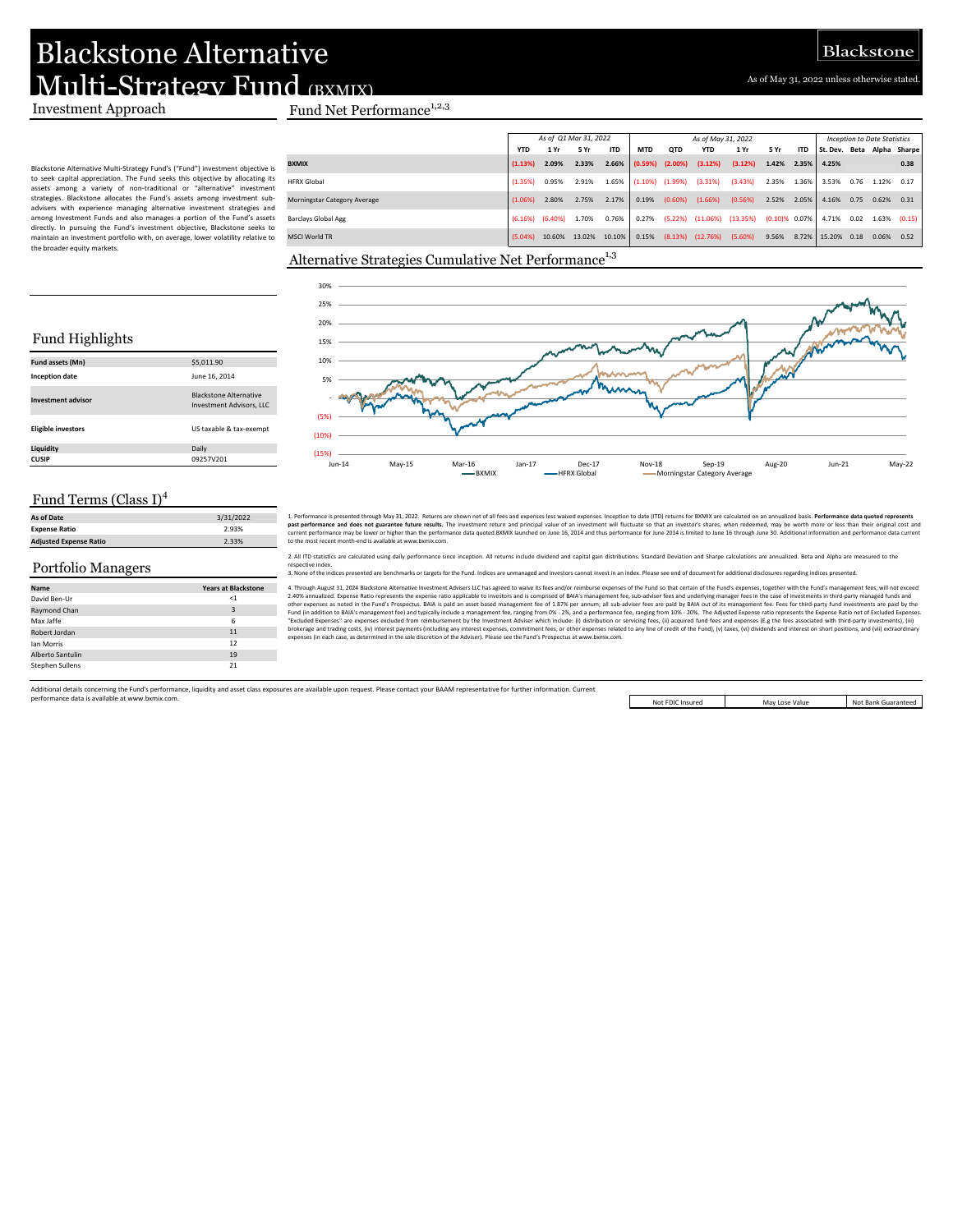As of May 31, 2022 unless otherwise stated.

# Blackstone Alternative Multi-Strategy Fund (BXMIX)

#### Blackstone Alternative Multi‐Strategy Fund's ("Fund") investment objective is to seek capital appreciation. The Fund seeks this objective by allocating its assets among a variety of non‐traditional or "alternative" investment strategies. Blackstone allocates the Fund's assets among investment subadvisers with experience managing alternative investment strategies and among Investment Funds and also manages a portion of the Fund's assets directly. In pursuing the Fund's investment objective, Blackstone seeks to maintain an investment portfolio with, on average, lower volatility relative to the broader equity markets.

## Investment Approach Fund Net Performance<sup>1,2,3</sup>

|                              | As of Q1 Mar 31, 2022                    |        |        |        |            | As of May 31, 2022 |                                 |         |                    |            |          |      | <b>Inception to Date Statistics</b> |                   |  |  |
|------------------------------|------------------------------------------|--------|--------|--------|------------|--------------------|---------------------------------|---------|--------------------|------------|----------|------|-------------------------------------|-------------------|--|--|
|                              | <b>ITD</b><br><b>YTD</b><br>5 Yr<br>1 Yr |        |        |        |            | <b>OTD</b>         | <b>YTD</b>                      | 1 Yr    | 5 Yr               | <b>ITD</b> | St. Dev. |      |                                     | Beta Alpha Sharpe |  |  |
| <b>BXMIX</b>                 | (1.13%)                                  | 2.09%  | 2.33%  | 2.66%  | (0.59%)    | $(2.00\%)$         | (3.12%)                         | (3.12%) | 1.42%              | 2.35%      | 4.25%    |      |                                     | 0.38              |  |  |
| <b>HFRX Global</b>           | (1.35%)                                  | 0.95%  | 2.91%  | 1.65%  | $(1.10\%)$ | (1.99%)            | (3.31%)                         | (3.43%) | 2.35%              | 1.36%      | 3.53%    | 0.76 | 1.12%                               | 0.17              |  |  |
| Morningstar Category Average | (1.06%)                                  | 2.80%  | 2.75%  | 2.17%  | 0.19%      | $(0.60\%)$         | (1.66%)                         | (0.56%) | 2.52%              | 2.05%      | 4.16%    | 0.75 | 0.62%                               | 0.31              |  |  |
| <b>Barclays Global Agg</b>   | $(6.16\%)$ $(6.40\%)$                    |        | 1.70%  | 0.76%  | 0.27%      |                    | $(5.22%)$ $(11.06%)$ $(13.35%)$ |         | $(0.10)$ % $0.07%$ |            | 4.71%    | 0.02 |                                     | $1.63\%$ $(0.15)$ |  |  |
| <b>MSCI World TR</b>         | $(5.04\%)$                               | 10.60% | 13.02% | 10.10% | 0.15%      |                    | $(8.13%)$ $(12.76%)$            | (5.60%) | 9.56%              | 8.72%      | 15.20%   | 0.18 | 0.06%                               | 0.52              |  |  |

### Alternative Strategies Cumulative Net Performance<sup>1,3</sup>



1. Performance is presented through May 31, 2022. Returns are shown net of all fees and expenses less wived expenses. Inception to date (ITD) returns for BXMX are calculated on an anualized basis. Performance data questers

2. All ITD statistics are calculated usine daily performance since inception. All returns include dividend and capital eain distributions. Standard Deviation and Sharpe calculations are annualized. Beta and Alpha are measu rective index.

3. None of the indices presented are benchmarks or targets for the Fund. Indices are unmanaged and investors cannot invest in an index. Please see end of document for additional disclosures regarding indices presented.

4. Through August 31, 2024 Blackstone Alternative Investment Advisers LLG has a greed to window its less and/or relinded to the Fund of the Fund of the Fund S respects, together with the Fund S respective and the Fund S re

Additional details concerning the Fund's performance, liquidity and asset class exposures are available upon request. Please contact your BAAM representative for further information. Current performance data is available at www.bxmix.com.

Not FDIC Insured

May Lose Value Not Bank Guaranteed

## Fund Highlights

| Fund assets (Mn)          | \$5,011.90                                                       |
|---------------------------|------------------------------------------------------------------|
| <b>Inception date</b>     | June 16, 2014                                                    |
| <b>Investment advisor</b> | <b>Blackstone Alternative</b><br><b>Investment Advisors, LLC</b> |
| <b>Eligible investors</b> | US taxable & tax-exempt                                          |
| Liquidity                 | Daily                                                            |
| <b>CUSIP</b>              | 09257V201                                                        |

### Fund Terms (Class I)<sup>4</sup>

| As of Date                    | 3/31/2022 |
|-------------------------------|-----------|
| <b>Expense Ratio</b>          | 2.93%     |
| <b>Adjusted Expense Ratio</b> | 2.33%     |

### Portfolio Managers

| Name                   | <b>Years at Blackstone</b> |
|------------------------|----------------------------|
| David Ben-Ur           | $<$ 1                      |
| Raymond Chan           | 3                          |
| Max Jaffe              | 6                          |
| Robert Jordan          | 11                         |
| lan Morris             | 12                         |
| Alberto Santulin       | 19                         |
| <b>Stephen Sullens</b> | 21                         |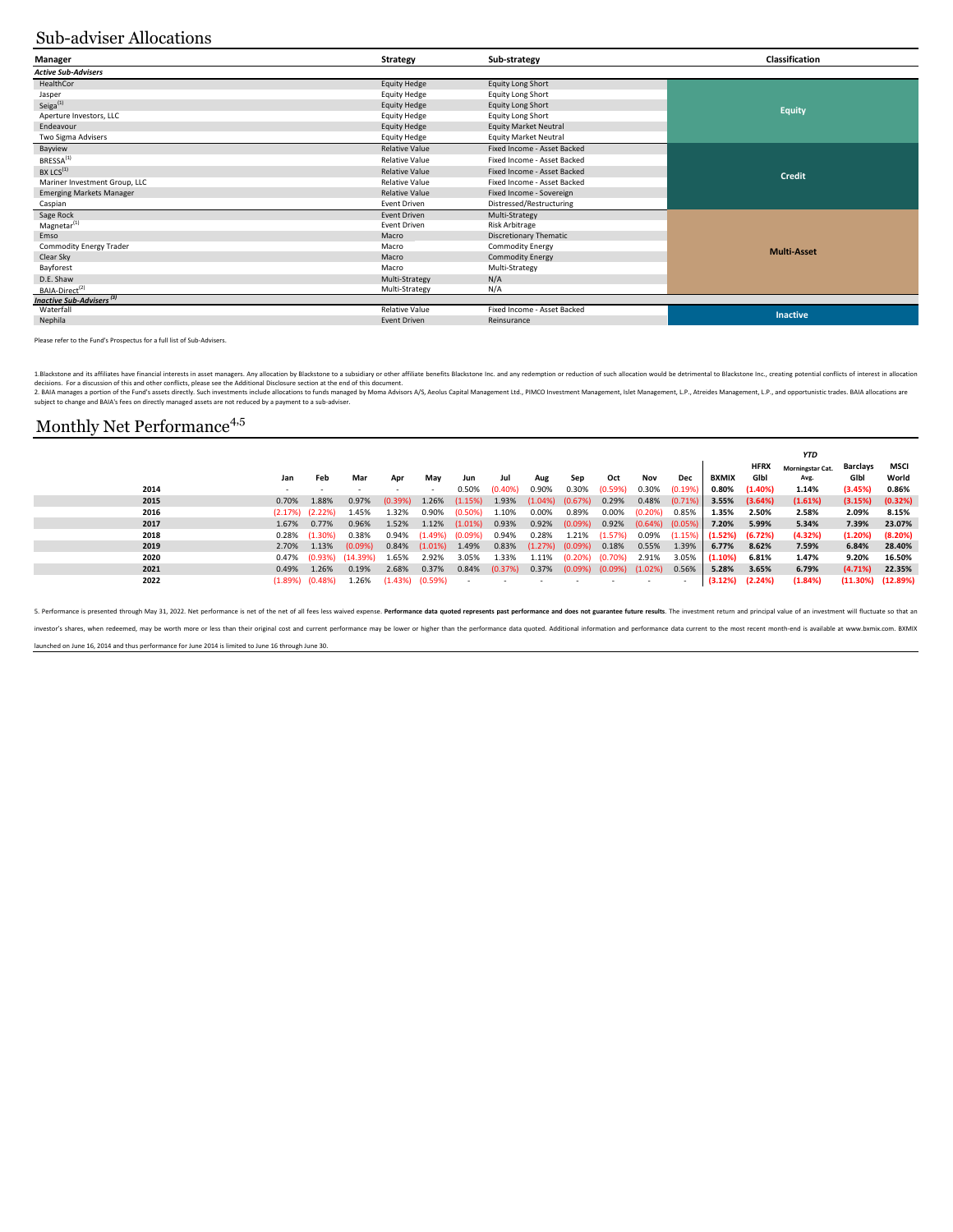## Sub-adviser Allocations

| Manager                                     | Strategy              | Sub-strategy                  | Classification     |  |  |  |
|---------------------------------------------|-----------------------|-------------------------------|--------------------|--|--|--|
| <b>Active Sub-Advisers</b>                  |                       |                               |                    |  |  |  |
| HealthCor                                   | <b>Equity Hedge</b>   | <b>Equity Long Short</b>      |                    |  |  |  |
| Jasper                                      | <b>Equity Hedge</b>   | Equity Long Short             |                    |  |  |  |
| Seiga $(1)$                                 | <b>Equity Hedge</b>   | Equity Long Short             | <b>Equity</b>      |  |  |  |
| Aperture Investors, LLC                     | <b>Equity Hedge</b>   | <b>Equity Long Short</b>      |                    |  |  |  |
| Endeavour                                   | <b>Equity Hedge</b>   | <b>Equity Market Neutral</b>  |                    |  |  |  |
| Two Sigma Advisers                          | <b>Equity Hedge</b>   | <b>Equity Market Neutral</b>  |                    |  |  |  |
| Bayview                                     | <b>Relative Value</b> | Fixed Income - Asset Backed   |                    |  |  |  |
| BRESSA <sup>(1)</sup>                       | <b>Relative Value</b> | Fixed Income - Asset Backed   |                    |  |  |  |
| BX LCS <sup>(1)</sup>                       | <b>Relative Value</b> | Fixed Income - Asset Backed   | Credit             |  |  |  |
| Mariner Investment Group, LLC               | <b>Relative Value</b> | Fixed Income - Asset Backed   |                    |  |  |  |
| <b>Emerging Markets Manager</b>             | <b>Relative Value</b> | Fixed Income - Sovereign      |                    |  |  |  |
| Caspian                                     | <b>Event Driven</b>   | Distressed/Restructuring      |                    |  |  |  |
| Sage Rock                                   | <b>Event Driven</b>   | Multi-Strategy                |                    |  |  |  |
| Magnetar <sup>(1)</sup>                     | <b>Event Driven</b>   | Risk Arbitrage                |                    |  |  |  |
| Emso                                        | Macro                 | <b>Discretionary Thematic</b> |                    |  |  |  |
| <b>Commodity Energy Trader</b>              | Macro                 | <b>Commodity Energy</b>       | <b>Multi-Asset</b> |  |  |  |
| Clear Sky                                   | Macro                 | <b>Commodity Energy</b>       |                    |  |  |  |
| Bayforest                                   | Macro                 | Multi-Strategy                |                    |  |  |  |
| D.E. Shaw                                   | Multi-Strategy        | N/A                           |                    |  |  |  |
| BAIA-Direct <sup>(2)</sup>                  | Multi-Strategy        | N/A                           |                    |  |  |  |
| <b>Inactive Sub-Advisers</b> <sup>(3)</sup> |                       |                               |                    |  |  |  |
| Waterfall                                   | <b>Relative Value</b> | Fixed Income - Asset Backed   | <b>Inactive</b>    |  |  |  |
| Nephila                                     | <b>Event Driven</b>   | Reinsurance                   |                    |  |  |  |

Please refer to the Fund's Prospectus for a full list of Sub‐Advisers.

1.Blacktone and its affiliates hancial interests in asset managers. Any allocation by Blacktone to a subsidiary or cher affiliate benefits Blackstone Inc. and any redemption or reduction of such allocation would be detrime

2. BAIA manages a portion of the Fund's assets directly, Such investments include allocations to funds managed by Moma Advisors A/S, Aeolus Capital Management Ltd, PIMCO Investment Management, Islet Management, L.P., Atrei

*YTD*

## Monthly Net Performance<sup>4,5</sup>

|      |       |                       |                           |         |         |            |            |            |                     |                                  |                       |        |                                  |             | YTD                     |                 |                         |
|------|-------|-----------------------|---------------------------|---------|---------|------------|------------|------------|---------------------|----------------------------------|-----------------------|--------|----------------------------------|-------------|-------------------------|-----------------|-------------------------|
|      |       |                       |                           |         |         |            |            |            |                     |                                  |                       |        |                                  | <b>HFRX</b> | <b>Morningstar Cat.</b> | <b>Barclays</b> | MSCI                    |
|      | Jan   | Feb                   | Mar                       | Apr     | Mav     | Jun        | Jul        | Aug        | Sep                 | Oct                              | Nov                   | Dec    | <b>BXMIX</b>                     | Gibi        | Avg.                    | GIbl            | World                   |
| 2014 |       |                       |                           |         |         | 0.50%      | $(0.40\%)$ | 0.90%      | 0.30%               | (0.59%)                          | 0.30%                 | (0.19% | 0.80%                            | (1.40%)     | 1.14%                   | (3.45%)         | 0.86%                   |
| 2015 | 0.70% | 1.88%                 | 0.97%                     | (0.39%  | 1.26%   | (1.15%     | 1.93%      | $(1.04\%)$ | (0.67%)             | 0.29%                            | 0.48%                 | (0.71% | 3.55%                            | (3.64%)     | (1.61%)                 | (3.15%)         | (0.32%)                 |
| 2016 |       | $(2.17%)$ $(2.22%)$   | 1.45%                     | 1.32%   | 0.90%   | $(0.50\%)$ | 1.10%      | 0.00%      | 0.89%               | 0.00%                            | (0.20%)               | 0.85%  | 1.35%                            | 2.50%       | 2.58%                   | 2.09%           | 8.15%                   |
| 2017 | 1.67% | 0.77%                 | 0.96%                     | 1.52%   | 1.12%   | $(1.01\%)$ | 0.93%      | 0.92%      | (0.09%)             | 0.92%                            | $(0.64\%)$ $(0.05\%)$ |        | 7.20%                            | 5.99%       | 5.34%                   | 7.39%           | 23.07%                  |
| 2018 |       | $0.28\%$ $(1.30\%)$   | 0.38%                     | 0.94%   | (1.49%) | (0.09%)    | 0.94%      | 0.28%      | 1.21%               | (1.57%)                          | 0.09%                 |        | $(1.15\%)$ $(1.52\%)$ $(6.72\%)$ |             | (4.32%)                 | (1.20%)         | (8.20%)                 |
| 2019 | 2.70% | 1.13%                 | (0.09%)                   | 0.84%   | (1.01%) | 1.49%      | 0.83%      |            | $(1.27%)$ $(0.09%)$ | 0.18%                            | 0.55%                 | 1.39%  | 6.77%                            | 8.62%       | 7.59%                   | 6.84%           | 28.40%                  |
| 2020 |       |                       | $0.47\%$ (0.93%) (14.39%) | 1.65%   | 2.92%   | 3.05%      | 1.33%      | 1.11%      | (0.20%)             | $(0.70\%)$                       | 2.91%                 | 3.05%  | (1.10%)                          | 6.81%       | 1.47%                   | 9.20%           | 16.50%                  |
| 2021 | 0.49% | 1.26%                 | 0.19%                     | 2.68%   | 0.37%   | 0.84%      | (0.37%)    | 0.37%      |                     | $(0.09\%)$ $(0.09\%)$ $(1.02\%)$ |                       | 0.56%  | 5.28%                            | 3.65%       | 6.79%                   | $(4.71\%)$      | 22.35%                  |
| 2022 |       | $(1.89\%)$ $(0.48\%)$ | 1.26%                     | (1.43%) | (0.59%) |            |            |            |                     |                                  |                       |        | (3.12%)                          | (2.24%)     | (1.84%)                 |                 | $(11.30\%)$ $(12.89\%)$ |
|      |       |                       |                           |         |         |            |            |            |                     |                                  |                       |        |                                  |             |                         |                 |                         |

5. Performance is presented through May 31, 2022. Net performance is net of the net of all fees less waived expense. Performance data quoted represents past performance and does not guarantee future results. The investment investor's shares, when redeemed, may be worth more or less than their original cost and current performance may be lower or higher than the performance data quoted. Additional information and performance data current to t launched on June 16, 2014 and thus performance for June 2014 is limited to June 16 through June 30.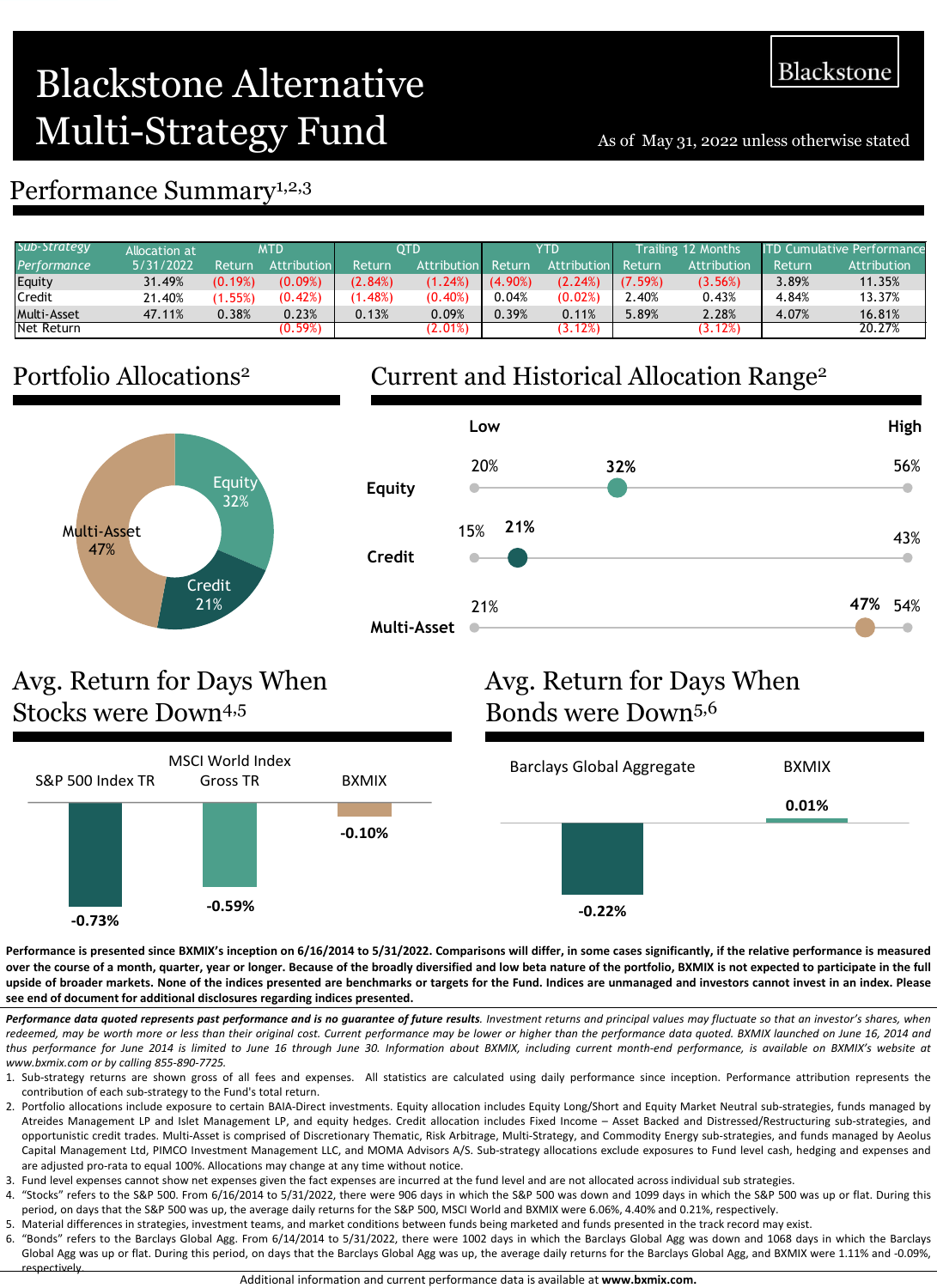# Blackstone Alternative Multi-Strategy Fund As of May 31, 2022 unless otherwise stated

## Performance Summary<sup>1,2,3</sup>

| Sub-Strategy       | Allocation at |         | MTD         |         | OTD                |         | YTD         |                | Trailing 12 Months | <b>ITD Cumulative Performance</b> |             |  |
|--------------------|---------------|---------|-------------|---------|--------------------|---------|-------------|----------------|--------------------|-----------------------------------|-------------|--|
| Performance        | 5/31/2022     | Return  | Attribution | Return  | <b>Attribution</b> | Return  | Attribution | Return         | Attribution        | Return                            | Attribution |  |
| Equity             | 31.49%        | (0.19%) | (0.09%)     | (2.84%) | (1.24%)            | (4.90%) | (2.24%)     | (7.59%)        | (3.56%)            | 3.89%                             | 11.35%      |  |
| Credit             | 21.40%        | (1.55%) | (0.42%)     | .48%    | (0.40%)            | 0.04%   | (0.02%)     | $\lambda$ .40% | 0.43%              | 4.84%                             | 13.37%      |  |
| <b>Multi-Asset</b> | 47.11%        | 0.38%   | 0.23%       | 0.13%   | 0.09%              | 0.39%   | 0.11%       | 5.89%          | 2.28%              | 4.07%                             | 16.81%      |  |
| Net Return         |               |         | (0.59%)     |         | $(2.01\%)$         |         | (3.12%)     |                | $(3.12\%)$         |                                   | 20.27%      |  |

# Portfolio Allocations2



# Current and Historical Allocation Range2



# Avg. Return for Days When Stocks were Down4,5



# Avg. Return for Days When Bonds were Down5,6



Performance is presented since BXMIX's inception on 6/16/2014 to 5/31/2022. Comparisons will differ, in some cases significantly, if the relative performance is measured over the course of a month, quarter, year or longer. Because of the broadly diversified and low beta nature of the portfolio, BXMIX is not expected to participate in the full upside of broader markets. None of the indices presented are benchmarks or targets for the Fund. Indices are unmanaged and investors cannot invest in an index. Please **see end of document for additional disclosures regarding indices presented.**

Performance data quoted represents past performance and is no guarantee of future results. Investment returns and principal values may fluctuate so that an investor's shares, when redeemed, may be worth more or less than their original cost. Current performance may be lower or higher than the performance data quoted. BXMIX launched on June 16, 2014 and thus performance for June 2014 is limited to June 16 through June 30. Information about BXMIX, including current month-end performance, is available on BXMIX's website at *www.bxmix.com or by calling 855‐890‐7725.*

- 1. Sub‐strategy returns are shown gross of all fees and expenses. All statistics are calculated using daily performance since inception. Performance attribution represents the contribution of each sub-strategy to the Fund's total return.
- 2. Portfolio allocations include exposure to certain BAIA‐Direct investments. Equity allocation includes Equity Long/Short and Equity Market Neutral sub‐strategies, funds managed by Atreides Management LP and Islet Management LP, and equity hedges. Credit allocation includes Fixed Income – Asset Backed and Distressed/Restructuring sub‐strategies, and opportunistic credit trades. Multi‐Asset is comprised of Discretionary Thematic, Risk Arbitrage, Multi‐Strategy, and Commodity Energy sub‐strategies, and funds managed by Aeolus Capital Management Ltd, PIMCO Investment Management LLC, and MOMA Advisors A/S. Sub-strategy allocations exclude exposures to Fund level cash, hedging and expenses and are adjusted pro-rata to equal 100%. Allocations may change at any time without notice.
- 3. Fund level expenses cannot show net expenses given the fact expenses are incurred at the fund level and are not allocated across individual sub strategies.
- 4. "Stocks" refers to the S&P 500. From 6/16/2014 to 5/31/2022, there were 906 days in which the S&P 500 was down and 1099 days in which the S&P 500 was up or flat. During this period, on days that the S&P 500 was up, the average daily returns for the S&P 500, MSCI World and BXMIX were 6.06%, 4.40% and 0.21%, respectively.
- 5. Material differences in strategies, investment teams, and market conditions between funds being marketed and funds presented in the track record may exist.
- 6. "Bonds" refers to the Barclays Global Agg. From 6/14/2014 to 5/31/2022, there were 1002 days in which the Barclays Global Agg was down and 1068 days in which the Barclays Global Agg was up or flat. During this period, on days that the Barclays Global Agg was up, the average daily returns for the Barclays Global Agg, and BXMIX were 1.11% and -0.09%, respectively.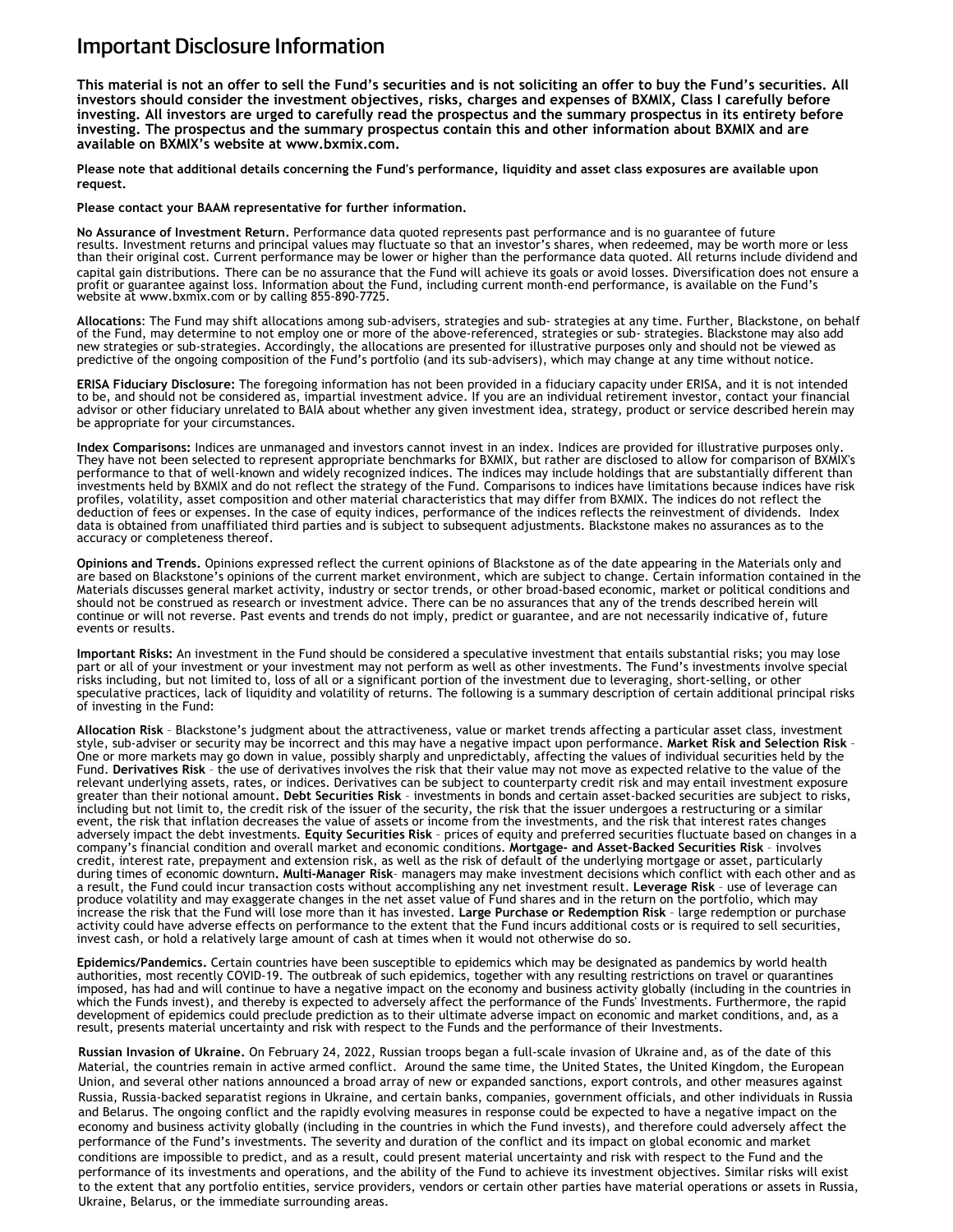## Important Disclosure Information

This material is not an offer to sell the Fund's securities and is not soliciting an offer to buy the Fund's securities. All **investors should consider the investment objectives, risks, charges and expenses of BXMIX, Class I carefully before investing. All investors are urged to carefully read the prospectus and the summary prospectus in its entirety before investing. The prospectus and the summary prospectus contain this and other information about BXMIX and are available on BXMIX's website at www.bxmix.com.** 

**Please note that additional details concerning the Fund's performance, liquidity and asset class exposures are available upon request.** 

**Please contact your BAAM representative for further information.** 

**No Assurance of Investment Return.** Performance data quoted represents past performance and is no guarantee of future<br>results. Investment returns and principal values may fluctuate so that an investor's shares, when redee than their original cost. Current performance may be lower or higher than the performance data quoted. All returns include dividend and capital gain distributions. There can be no assurance that the Fund will achieve its goals or avoid losses. Diversification does not ensure a profit or [guarantee](http://www.bxmix.com/) against loss. Information about the Fund, including current month-end performance, is available on the Fund's website at www.bxmix.com or by calling 855-890-7725.

**Allocations**: The Fund may shift allocations among sub-advisers, strategies and sub- strategies at any time. Further, Blackstone, on behalf of the Fund, may determine to not employ one or more of the above-referenced, strategies or sub- strategies. Blackstone may also add new strategies or sub-strategies. Accordingly, the allocations are presented for illustrative purposes only and should not be viewed as predictive of the ongoing composition of the Fund's portfolio (and its sub-advisers), which may change at any time without notice.

**ERISA Fiduciary Disclosure:** The foregoing information has not been provided in a fiduciary capacity under ERISA, and it is not intended to be, and should not be considered as, impartial investment advice. If you are an individual retirement investor, contact your financial advisor or other fiduciary unrelated to BAIA about whether any given investment idea, strategy, product or service described herein may be appropriate for your circumstances.

**Index Comparisons:** Indices are unmanaged and investors cannot invest in an index. Indices are provided for illustrative purposes only. They have not been selected to represent appropriate benchmarks for BXMIX, but rather are disclosed to allow for comparison of BXMIX's performance to that of well-known and widely recognized indices. The indices may include holdings that are substantially different than investments held by BXMIX and do not reflect the strategy of the Fund. Comparisons to indices have limitations because indices have risk profiles, volatility, asset composition and other material characteristics that may differ from BXMIX. The indices do not reflect the deduction of fees or expenses. In the case of equity indices, performance of the indices reflects the reinvestment of dividends. Index data is obtained from unaffiliated third parties and is subject to subsequent adjustments. Blackstone makes no assurances as to the accuracy or completeness thereof.

**Opinions and Trends.** Opinions expressed reflect the current opinions of Blackstone as of the date appearing in the Materials only and are based on Blackstone's opinions of the current market environment, which are subject to change. Certain information contained in the Materials discusses general market activity, industry or sector trends, or other broad-based economic, market or political conditions and should not be construed as research or investment advice. There can be no assurances that any of the trends described herein will continue or will not reverse. Past events and trends do not imply, predict or guarantee, and are not necessarily indicative of, future events or results.

**Important Risks:** An investment in the Fund should be considered a speculative investment that entails substantial risks; you may lose part or all of your investment or your investment may not perform as well as other investments. The Fund's investments involve special risks including, but not limited to, loss of all or a significant portion of the investment due to leveraging, short-selling, or other speculative practices, lack of liquidity and volatility of returns. The following is a summary description of certain additional principal risks of investing in the Fund:

**Allocation Risk** – Blackstone's judgment about the attractiveness, value or market trends affecting a particular asset class, investment style, sub-adviser or security may be incorrect and this may have a negative impact upon performance. **Market Risk and Selection Risk** – One or more markets may go down in value, possibly sharply and unpredictably, affecting the values of individual securities held by the Fund. **Derivatives Risk** – the use of derivatives involves the risk that their value may not move as expected relative to the value of the relevant underlying assets, rates, or indices. Derivatives can be subject to counterparty credit risk and may entail investment exposure greater than their notional amount**. Debt Securities Risk** – investments in bonds and certain asset-backed securities are subject to risks, including but not limit to, the credit risk of the issuer of the security, the risk that the issuer undergoes a restructuring or a similar event, the risk that inflation decreases the value of assets or income from the investments, and the risk that interest rates changes adversely impact the debt investments. **Equity Securities Risk** – prices of equity and preferred securities fluctuate based on changes in a company's financial condition and overall market and economic conditions. **Mortgage- and Asset-Backed Securities Risk** – involves credit, interest rate, prepayment and extension risk, as well as the risk of default of the underlying mortgage or asset, particularly during times of economic downturn**. Multi-Manager Risk**– managers may make investment decisions which conflict with each other and as a result, the Fund could incur transaction costs without accomplishing any net investment result. **Leverage Risk** – use of leverage can produce volatility and may exaggerate changes in the net asset value of Fund shares and in the return on the portfolio, which may increase the risk that the Fund will lose more than it has invested. **Large Purchase or Redemption Risk** – large redemption or purchase activity could have adverse effects on performance to the extent that the Fund incurs additional costs or is required to sell securities, invest cash, or hold a relatively large amount of cash at times when it would not otherwise do so.

**Epidemics/Pandemics.** Certain countries have been susceptible to epidemics which may be designated as pandemics by world health authorities, most recently COVID-19. The outbreak of such epidemics, together with any resulting restrictions on travel or quarantines imposed, has had and will continue to have a negative impact on the economy and business activity globally (including in the countries in which the Funds invest), and thereby is expected to adversely affect the performance of the Funds' Investments. Furthermore, the rapid development of epidemics could preclude prediction as to their ultimate adverse impact on economic and market conditions, and, as a result, presents material uncertainty and risk with respect to the Funds and the performance of their Investments.

**Russian Invasion of Ukraine.** On February 24, 2022, Russian troops began a full-scale invasion of Ukraine and, as of the date of this Material, the countries remain in active armed conflict. Around the same time, the United States, the United Kingdom, the European Union, and several other nations announced a broad array of new or expanded sanctions, export controls, and other measures against Russia, Russia-backed separatist regions in Ukraine, and certain banks, companies, government officials, and other individuals in Russia and Belarus. The ongoing conflict and the rapidly evolving measures in response could be expected to have a negative impact on the economy and business activity globally (including in the countries in which the Fund invests), and therefore could adversely affect the performance of the Fund's investments. The severity and duration of the conflict and its impact on global economic and market conditions are impossible to predict, and as a result, could present material uncertainty and risk with respect to the Fund and the performance of its investments and operations, and the ability of the Fund to achieve its investment objectives. Similar risks will exist to the extent that any portfolio entities, service providers, vendors or certain other parties have material operations or assets in Russia, Ukraine, Belarus, or the immediate surrounding areas.